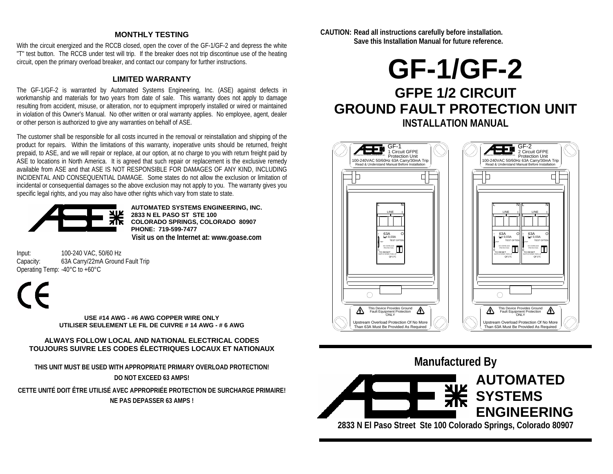## **MONTHLY TESTING**

With the circuit energized and the RCCB closed, open the cover of the GF-1/GF-2 and depress the white "T" test button. The RCCB under test will trip. If the breaker does not trip discontinue use of the heating circuit, open the primary overload breaker, and contact our company for further instructions.

## **LIMITED WARRANTY**

The GF-1/GF-2 is warranted by Automated Systems Engineering, Inc. (ASE) against defects in workmanship and materials for two years from date of sale. This warranty does not apply to damage resulting from accident, misuse, or alteration, nor to equipment improperly installed or wired or maintained in violation of this Owner's Manual. No other written or oral warranty applies. No employee, agent, dealer or other person is authorized to give any warranties on behalf of ASE.

The customer shall be responsible for all costs incurred in the removal or reinstallation and shipping of the product for repairs. Within the limitations of this warranty, inoperative units should be returned, freight prepaid, to ASE, and we will repair or replace, at our option, at no charge to you with return freight paid by ASE to locations in North America. It is agreed that such repair or replacement is the exclusive remedy available from ASE and that ASE IS NOT RESPONSIBLE FOR DAMAGES OF ANY KIND, INCLUDING INCIDENTAL AND CONSEQUENTIAL DAMAGE. Some states do not allow the exclusion or limitation of incidental or consequential damages so the above exclusion may not apply to you. The warranty gives you specific legal rights, and you may also have other rights which vary from state to state.



**AUTOMATED SYSTEMS ENGINEERING, INC. 2833 N EL PASO ST STE 100 COLORADO SPRINGS, COLORADO 80907 PHONE: 719-599-7477 Visit us on the Internet at: www.goase.com** 

Input: 100-240 VAC, 50/60 Hz<br>Capacity: 63A Carry/22mA Ground 63A Carry/22mA Ground Fault Trip Operating Temp: -40°C to +60°C

**USE #14 AWG - #6 AWG COPPER WIRE ONLY UTILISER SEULEMENT LE FIL DE CUIVRE # 14 AWG - # 6 AWG** 

#### **ALWAYS FOLLOW LOCAL AND NATIONAL ELECTRICAL CODES TOUJOURS SUIVRE LES CODES ÉLECTRIQUES LOCAUX ET NATIONAUX**

**THIS UNIT MUST BE USED WITH APPROPRIATE PRIMARY OVERLOAD PROTECTION! DO NOT EXCEED 63 AMPS!**

**CETTE UNITÉ DOIT ÊTRE UTILISÉ AVEC APPROPRIÉE PROTECTION DE SURCHARGE PRIMAIRE! NE PAS DEPASSER 63 AMPS !** 

**CAUTION: Read all instructions carefully before installation. Save this Installation Manual for future reference.** 

# **GF-1/GF-2 GFPE 1/2 CIRCUIT GROUND FAULT PROTECTION UNIT INSTALLATION MANUAL**





**2833 N El Paso Street Ste 100 Colorado Springs, Colorado 80907**